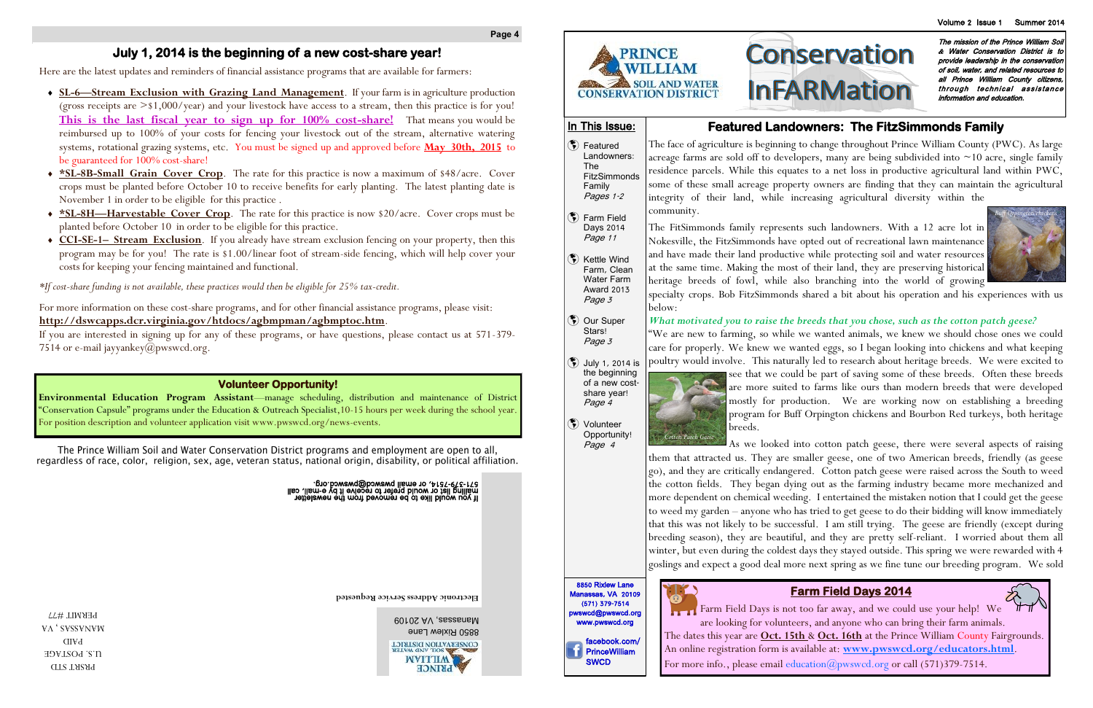**Electronic Address Service Requested**

# **Conservation InFARMation**

The mission of the Prince William Soil & Water Conservation District is to provide leadership in the conservation of soil, water, and related resources to all Prince William County citizens, through technical assistance information and education.

Manassas, VA 20109 8850 Rixlew Lane CONSERVATION DISTRICT **LVM GNV TIOS** 



(\*) Featured Landowners:

**(\*)** Farm Field Days 2014 Page 11

#### **Page 4**

 $\left(\mathbf{\ddot{S}}\right)$  Kettle Wind Farm, Clean Water Farm Award 2013 Page 3

(\*) Our Super Stars! Page 3

In This Issue:

The

Family Pages 1-2

PRSRT STD U.S. POSTAGE PAID **VA** 'SVSSVNVW PERMIT #77



- July 1, 2014 is the beginning of a new costshare year! Page 4
- (\*) Volunteer Opportunity! Page 4

8850 Rixlew Lane





## **Volunteer Opportunity!**

**Environmental Education Program Assistant**—manage scheduling, distribution and maintenance of District "Conservation Capsule" programs under the Education & Outreach Specialist,10-15 hours per week during the school year. For position description and volunteer application visit www.pwswcd.org/news-events.

The Prince William Soil and Water Conservation District programs and employment are open to all, regardless of race, color, religion, sex, age, veteran status, national origin, disability, or political affiliation.

If you would like to be removed from the newsletter all of the mewsletter<br>mailing list or would prefer to receive it by e-mail, call<br>mail ist or would his mewsletter to receive it by e-mail, call

FitzSimmonds The face of agriculture is beginning to change throughout Prince William County (PWC). As large acreage farms are sold off to developers, many are being subdivided into ~10 acre, single family residence parcels. While this equates to a net loss in productive agricultural land within PWC, some of these small acreage property owners are finding that they can maintain the agricultural integrity of their land, while increasing agricultural diversity within the community.

## **Featured Landowners: The FitzSimmonds Family**

The FitSimmonds family represents such landowners. With a 12 acre lot in Nokesville, the FitzSimmonds have opted out of recreational lawn maintenance and have made their land productive while protecting soil and water resources at the same time. Making the most of their land, they are preserving historical heritage breeds of fowl, while also branching into the world of growing specialty crops. Bob FitzSimmonds shared a bit about his operation and his experiences with us below:

#### *What motivated you to raise the breeds that you chose, such as the cotton patch geese?*

"We are new to farming, so while we wanted animals, we knew we should chose ones we could care for properly. We knew we wanted eggs, so I began looking into chickens and what keeping poultry would involve. This naturally led to research about heritage breeds. We were excited to see that we could be part of saving some of these breeds. Often these breeds are more suited to farms like ours than modern breeds that were developed mostly for production. We are working now on establishing a breeding program for Buff Orpington chickens and Bourbon Red turkeys, both heritage breeds.

As we looked into cotton patch geese, there were several aspects of raising them that attracted us. They are smaller geese, one of two American breeds, friendly (as geese go), and they are critically endangered. Cotton patch geese were raised across the South to weed the cotton fields. They began dying out as the farming industry became more mechanized and more dependent on chemical weeding. I entertained the mistaken notion that I could get the geese to weed my garden – anyone who has tried to get geese to do their bidding will know immediately that this was not likely to be successful. I am still trying. The geese are friendly (except during breeding season), they are beautiful, and they are pretty self-reliant. I worried about them all winter, but even during the coldest days they stayed outside. This spring we were rewarded with 4 goslings and expect a good deal more next spring as we fine tune our breeding program. We sold

RS

Farm Field Days is not too far away, and we could use your help! We are looking for volunteers, and anyone who can bring their farm animals. The dates this year are **Oct. 15th** & **Oct. 16th** at the Prince William County Fairgrounds. An online registration form is available at: **www.pwswcd.org/educators.html**. For more info., please email education  $\widehat{\omega}_{\text{pwswcd.}$  or call (571)379-7514.

## **July 1, 2014 is the beginning of a new cost-share year!**

Here are the latest updates and reminders of financial assistance programs that are available for farmers:

- **SL-6—Stream Exclusion with Grazing Land Management**. If your farm is in agriculture production (gross receipts are  $> $1,000/\text{year}$ ) and your livestock have access to a stream, then this practice is for you! **This is the last fiscal year to sign up for 100% cost-share!** That means you would be reimbursed up to 100% of your costs for fencing your livestock out of the stream, alternative watering systems, rotational grazing systems, etc. You must be signed up and approved before **May 30th, 2015** to be guaranteed for 100% cost-share!
- **\*SL-8B-Small Grain Cover Crop**. The rate for this practice is now a maximum of \$48/acre. Cover crops must be planted before October 10 to receive benefits for early planting. The latest planting date is November 1 in order to be eligible for this practice .
- **\*SL-8H—Harvestable Cover Crop**. The rate for this practice is now \$20/acre. Cover crops must be planted before October 10 in order to be eligible for this practice.
- **CCI-SE-1– Stream Exclusion**. If you already have stream exclusion fencing on your property, then this program may be for you! The rate is \$1.00/linear foot of stream-side fencing, which will help cover your costs for keeping your fencing maintained and functional.

*\*If cost-share funding is not available, these practices would then be eligible for 25% tax-credit.*

For more information on these cost-share programs, and for other financial assistance programs, please visit: **http://dswcapps.dcr.virginia.gov/htdocs/agbmpman/agbmptoc.htm**.

If you are interested in signing up for any of these programs, or have questions, please contact us at 571-379- 7514 or e-mail jayyankey@pwswcd.org.

## **Farm Field Days 2014**

*Cotton Patch Geese*